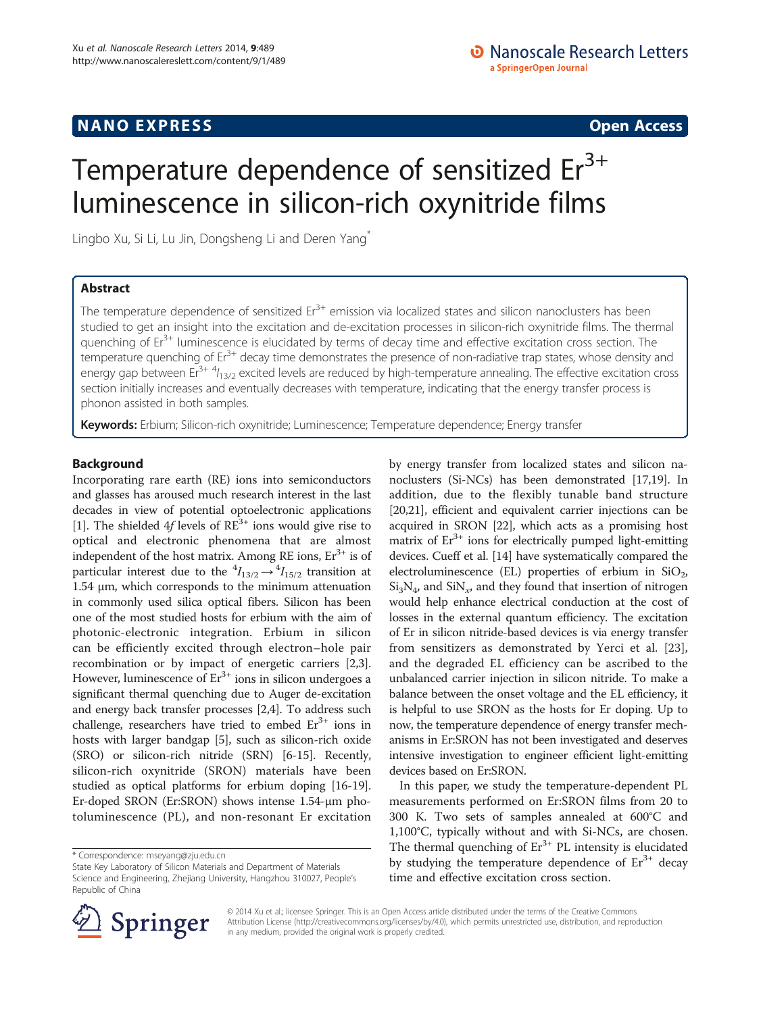# **NANO EXPRESS** Open Access and the set of the set of the set of the set of the set of the set of the set of the set of the set of the set of the set of the set of the set of the set of the set of the set of the set of the

# Temperature dependence of sensitized  $Er<sup>3+</sup>$ luminescence in silicon-rich oxynitride films

Lingbo Xu, Si Li, Lu Jin, Dongsheng Li and Deren Yang<sup>\*</sup>

# Abstract

The temperature dependence of sensitized Er<sup>3+</sup> emission via localized states and silicon nanoclusters has been studied to get an insight into the excitation and de-excitation processes in silicon-rich oxynitride films. The thermal quenching of Er<sup>3+</sup> luminescence is elucidated by terms of decay time and effective excitation cross section. The temperature quenching of  $Er^{3+}$  decay time demonstrates the presence of non-radiative trap states, whose density and energy gap between Er<sup>3+ 4</sup> $I_{13/2}$  excited levels are reduced by high-temperature annealing. The effective excitation cross section initially increases and eventually decreases with temperature, indicating that the energy transfer process is phonon assisted in both samples.

Keywords: Erbium; Silicon-rich oxynitride; Luminescence; Temperature dependence; Energy transfer

# Background

Incorporating rare earth (RE) ions into semiconductors and glasses has aroused much research interest in the last decades in view of potential optoelectronic applications [[1\]](#page-5-0). The shielded 4f levels of  $RE^{3+}$  ions would give rise to optical and electronic phenomena that are almost independent of the host matrix. Among RE ions,  $Er^{3+}$  is of particular interest due to the  ${}^4I_{13/2} \rightarrow {}^4I_{15/2}$  transition at 1.54 μm, which corresponds to the minimum attenuation in commonly used silica optical fibers. Silicon has been one of the most studied hosts for erbium with the aim of photonic-electronic integration. Erbium in silicon can be efficiently excited through electron–hole pair recombination or by impact of energetic carriers [[2](#page-5-0),[3](#page-5-0)]. However, luminescence of  $Er<sup>3+</sup>$  ions in silicon undergoes a significant thermal quenching due to Auger de-excitation and energy back transfer processes [\[2,4\]](#page-5-0). To address such challenge, researchers have tried to embed  $Er<sup>3+</sup>$  ions in hosts with larger bandgap [\[5](#page-5-0)], such as silicon-rich oxide (SRO) or silicon-rich nitride (SRN) [\[6-15](#page-5-0)]. Recently, silicon-rich oxynitride (SRON) materials have been studied as optical platforms for erbium doping [[16](#page-5-0)-[19](#page-5-0)]. Er-doped SRON (Er:SRON) shows intense 1.54-μm photoluminescence (PL), and non-resonant Er excitation



In this paper, we study the temperature-dependent PL measurements performed on Er:SRON films from 20 to 300 K. Two sets of samples annealed at 600°C and 1,100°C, typically without and with Si-NCs, are chosen. The thermal quenching of  $Er^{3+}$  PL intensity is elucidated by studying the temperature dependence of  $Er<sup>3+</sup>$  decay time and effective excitation cross section.



© 2014 Xu et al.; licensee Springer. This is an Open Access article distributed under the terms of the Creative Commons Attribution License [\(http://creativecommons.org/licenses/by/4.0\)](http://creativecommons.org/licenses/by/4.0), which permits unrestricted use, distribution, and reproduction in any medium, provided the original work is properly credited.

<sup>\*</sup> Correspondence: [mseyang@zju.edu.cn](mailto:mseyang@zju.edu.cn)

State Key Laboratory of Silicon Materials and Department of Materials Science and Engineering, Zhejiang University, Hangzhou 310027, People's Republic of China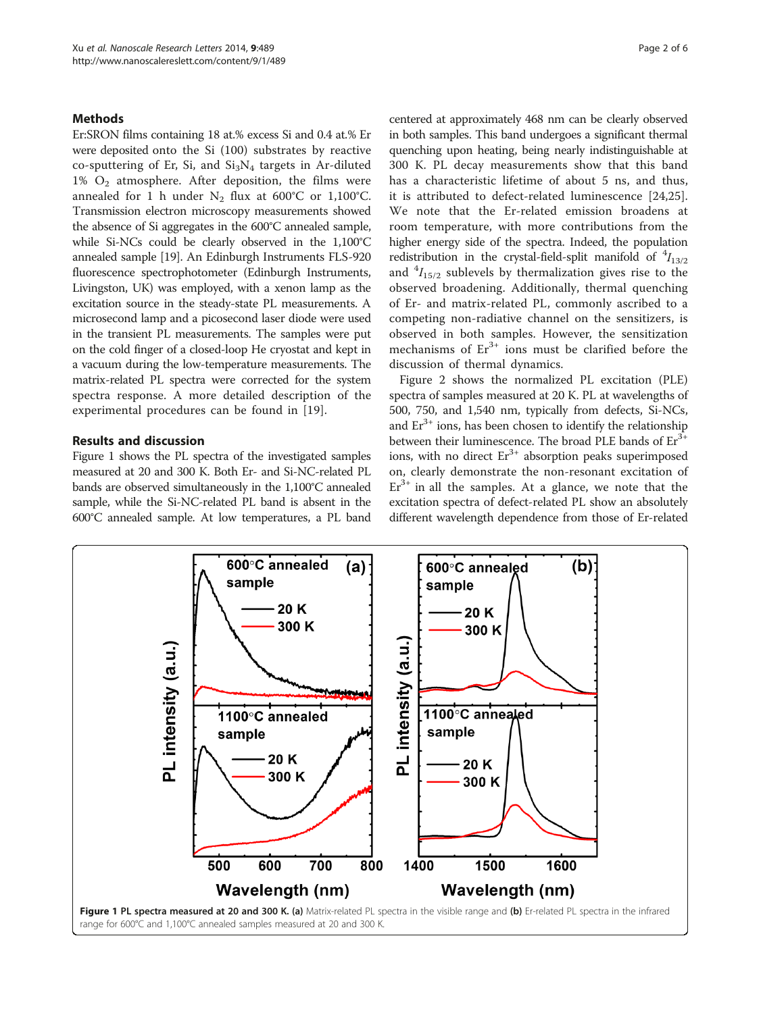# **Methods**

Er:SRON films containing 18 at.% excess Si and 0.4 at.% Er were deposited onto the Si (100) substrates by reactive co-sputtering of Er, Si, and  $Si<sub>3</sub>N<sub>4</sub>$  targets in Ar-diluted  $1\%$  O<sub>2</sub> atmosphere. After deposition, the films were annealed for 1 h under  $N_2$  flux at 600°C or 1,100°C. Transmission electron microscopy measurements showed the absence of Si aggregates in the 600°C annealed sample, while Si-NCs could be clearly observed in the 1,100°C annealed sample [[19](#page-5-0)]. An Edinburgh Instruments FLS-920 fluorescence spectrophotometer (Edinburgh Instruments, Livingston, UK) was employed, with a xenon lamp as the excitation source in the steady-state PL measurements. A microsecond lamp and a picosecond laser diode were used in the transient PL measurements. The samples were put on the cold finger of a closed-loop He cryostat and kept in a vacuum during the low-temperature measurements. The matrix-related PL spectra were corrected for the system spectra response. A more detailed description of the experimental procedures can be found in [[19\]](#page-5-0).

# Results and discussion

Figure 1 shows the PL spectra of the investigated samples measured at 20 and 300 K. Both Er- and Si-NC-related PL bands are observed simultaneously in the 1,100°C annealed sample, while the Si-NC-related PL band is absent in the 600°C annealed sample. At low temperatures, a PL band

centered at approximately 468 nm can be clearly observed in both samples. This band undergoes a significant thermal quenching upon heating, being nearly indistinguishable at 300 K. PL decay measurements show that this band has a characteristic lifetime of about 5 ns, and thus, it is attributed to defect-related luminescence [[24,25](#page-5-0)]. We note that the Er-related emission broadens at room temperature, with more contributions from the higher energy side of the spectra. Indeed, the population redistribution in the crystal-field-split manifold of  ${}^{4}I_{13/2}$ and  ${}^{4}I_{15/2}$  sublevels by thermalization gives rise to the observed broadening. Additionally, thermal quenching of Er- and matrix-related PL, commonly ascribed to a competing non-radiative channel on the sensitizers, is observed in both samples. However, the sensitization mechanisms of  $Er^{3+}$  ions must be clarified before the discussion of thermal dynamics.

Figure [2](#page-2-0) shows the normalized PL excitation (PLE) spectra of samples measured at 20 K. PL at wavelengths of 500, 750, and 1,540 nm, typically from defects, Si-NCs, and  $Er^{3+}$  ions, has been chosen to identify the relationship between their luminescence. The broad PLE bands of  $Er^{3+}$ ions, with no direct  $Er^{3+}$  absorption peaks superimposed on, clearly demonstrate the non-resonant excitation of  $Er<sup>3+</sup>$  in all the samples. At a glance, we note that the excitation spectra of defect-related PL show an absolutely different wavelength dependence from those of Er-related

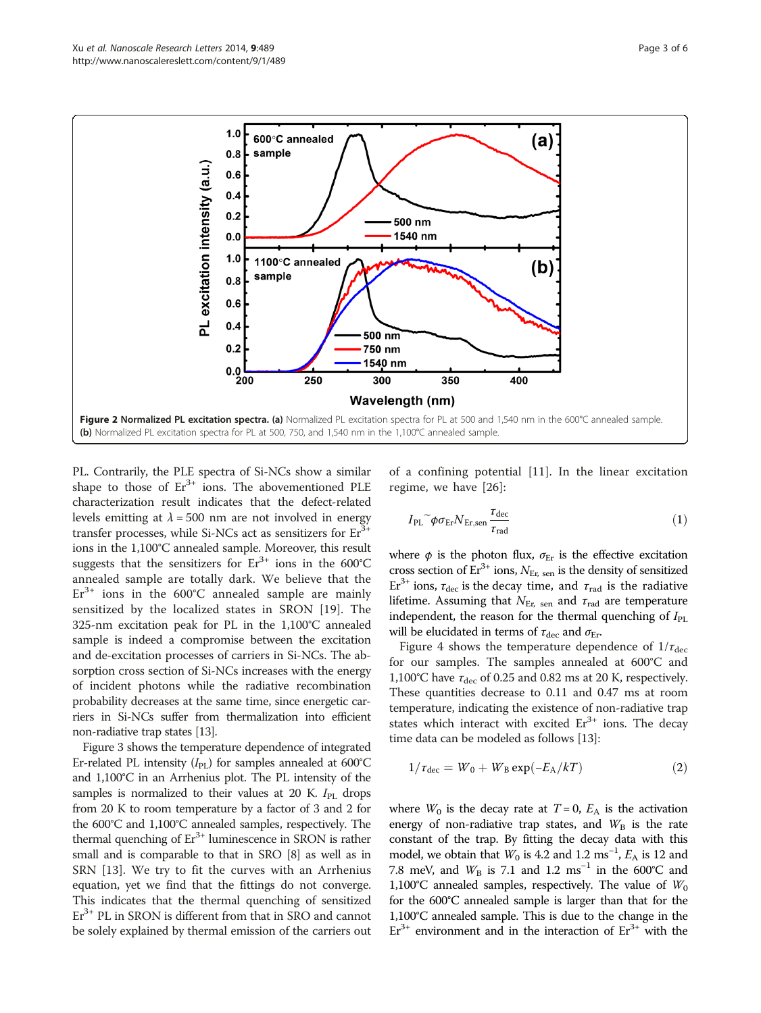<span id="page-2-0"></span>

PL. Contrarily, the PLE spectra of Si-NCs show a similar shape to those of  $Er^{3+}$  ions. The abovementioned PLE characterization result indicates that the defect-related levels emitting at  $\lambda$  = 500 nm are not involved in energy transfer processes, while Si-NCs act as sensitizers for  $Er^{3+}$ ions in the 1,100°C annealed sample. Moreover, this result suggests that the sensitizers for  $Er^{3+}$  ions in the 600°C annealed sample are totally dark. We believe that the  $Er<sup>3+</sup>$  ions in the 600°C annealed sample are mainly sensitized by the localized states in SRON [[19\]](#page-5-0). The 325-nm excitation peak for PL in the 1,100°C annealed sample is indeed a compromise between the excitation and de-excitation processes of carriers in Si-NCs. The absorption cross section of Si-NCs increases with the energy of incident photons while the radiative recombination probability decreases at the same time, since energetic carriers in Si-NCs suffer from thermalization into efficient non-radiative trap states [\[13](#page-5-0)].

Figure [3](#page-3-0) shows the temperature dependence of integrated Er-related PL intensity  $(I_{PL})$  for samples annealed at 600°C and 1,100°C in an Arrhenius plot. The PL intensity of the samples is normalized to their values at 20 K.  $I_{PL}$  drops from 20 K to room temperature by a factor of 3 and 2 for the 600°C and 1,100°C annealed samples, respectively. The thermal quenching of  $Er^{3+}$  luminescence in SRON is rather small and is comparable to that in SRO [\[8](#page-5-0)] as well as in SRN [[13](#page-5-0)]. We try to fit the curves with an Arrhenius equation, yet we find that the fittings do not converge. This indicates that the thermal quenching of sensitized  $Er<sup>3+</sup> PL$  in SRON is different from that in SRO and cannot be solely explained by thermal emission of the carriers out of a confining potential [[11\]](#page-5-0). In the linear excitation regime, we have [[26\]](#page-5-0): a confining po<br>ime, we have [<br> $I_{PL}\widetilde{\phantom{\phi}}\phi\sigma_{\text{Er}}N_{\text{Er,sen}}$ 

$$
I_{\rm PL}^{\sim} \phi \sigma_{\rm Er} N_{\rm Er, sen} \frac{\tau_{\rm dec}}{\tau_{\rm rad}} \tag{1}
$$

where  $\phi$  is the photon flux,  $\sigma_{Er}$  is the effective excitation cross section of  $Er^{3+}$  ions,  $N_{Er, sen}$  is the density of sensitized  $Er^{3+}$  ions,  $\tau_{dec}$  is the decay time, and  $\tau_{rad}$  is the radiative lifetime. Assuming that  $N_{\text{Er, sen}}$  and  $\tau_{\text{rad}}$  are temperature independent, the reason for the thermal quenching of  $I_{\text{PL}}$ will be elucidated in terms of  $\tau_{\rm dec}$  and  $\sigma_{\rm Er}$ .

Figure [4](#page-3-0) shows the temperature dependence of  $1/\tau_{\text{dec}}$ for our samples. The samples annealed at 600°C and 1,100°C have  $\tau_{\text{dec}}$  of 0.25 and 0.82 ms at 20 K, respectively. These quantities decrease to 0.11 and 0.47 ms at room temperature, indicating the existence of non-radiative trap states which interact with excited  $Er<sup>3+</sup>$  ions. The decay time data can be modeled as follows [\[13\]](#page-5-0):

$$
1/\tau_{\rm dec} = W_0 + W_{\rm B} \exp(-E_{\rm A}/kT) \tag{2}
$$

where  $W_0$  is the decay rate at  $T=0$ ,  $E_A$  is the activation energy of non-radiative trap states, and  $W_B$  is the rate constant of the trap. By fitting the decay data with this model, we obtain that  $W_0$  is 4.2 and 1.2 ms<sup>-1</sup>,  $E_A$  is 12 and 7.8 meV, and  $W_B$  is 7.1 and 1.2 ms<sup>-1</sup> in the 600°C and 1,100°C annealed samples, respectively. The value of  $W_0$ for the 600°C annealed sample is larger than that for the 1,100°C annealed sample. This is due to the change in the  $Er<sup>3+</sup>$  environment and in the interaction of  $Er<sup>3+</sup>$  with the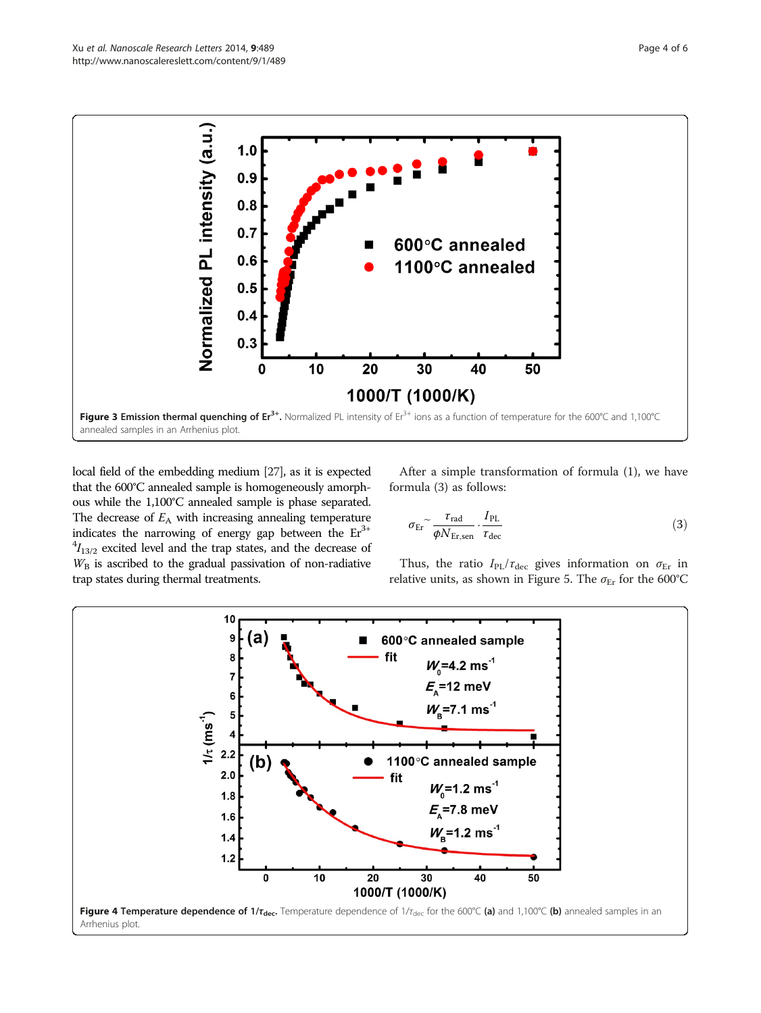<span id="page-3-0"></span>

local field of the embedding medium [\[27\]](#page-5-0), as it is expected that the 600°C annealed sample is homogeneously amorphous while the 1,100°C annealed sample is phase separated. The decrease of  $E_A$  with increasing annealing temperature indicates the narrowing of energy gap between the  $Er<sup>3+</sup>$  $^{4}I_{13/2}$  excited level and the trap states, and the decrease of  $W_B$  is ascribed to the gradual passivation of non-radiative trap states during thermal treatments.

After a simple transformation of formula (1), we have formula (3) as follows: fter a sim<br>
mula (3) as<br>  $\sigma_{\text{Er}} \sim \frac{r_{\text{rad}}}{4N}$ 

$$
\sigma_{\rm Er} \sim \frac{\tau_{\rm rad}}{\phi N_{\rm Er,sen}} \cdot \frac{I_{\rm PL}}{\tau_{\rm dec}} \tag{3}
$$

Thus, the ratio  $I_{PL}/\tau_{dec}$  gives information on  $\sigma_{Er}$  in relative units, as shown in Figure [5](#page-4-0). The  $\sigma_{Er}$  for the 600°C

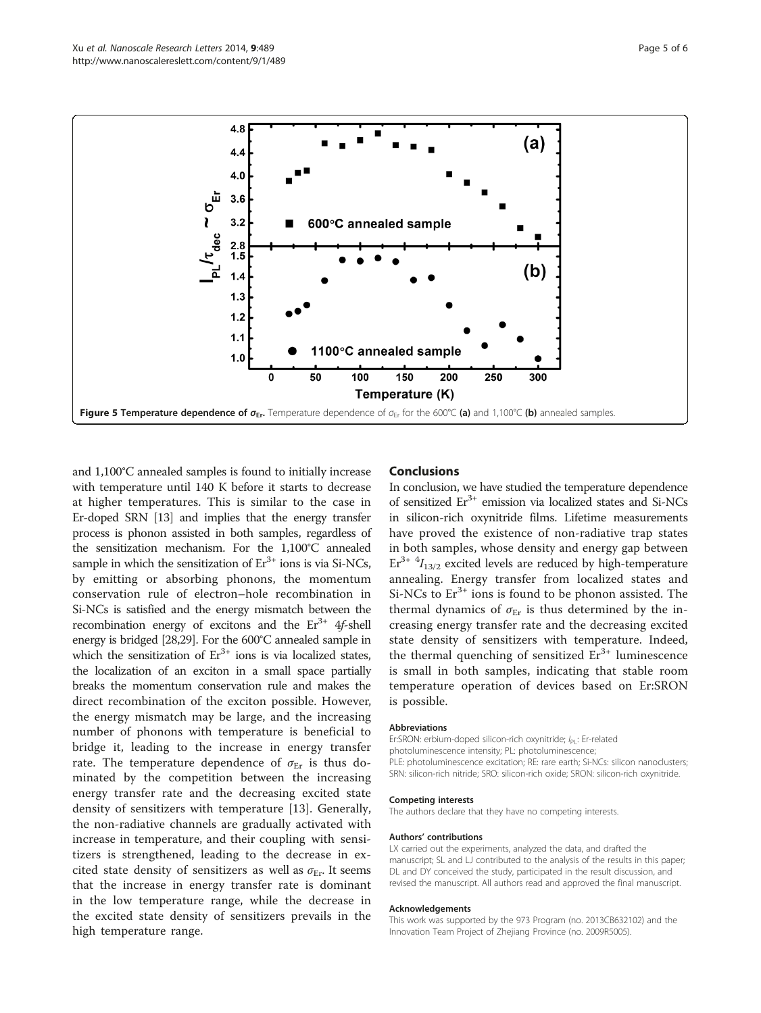<span id="page-4-0"></span>

and 1,100°C annealed samples is found to initially increase with temperature until 140 K before it starts to decrease at higher temperatures. This is similar to the case in Er-doped SRN [\[13\]](#page-5-0) and implies that the energy transfer process is phonon assisted in both samples, regardless of the sensitization mechanism. For the 1,100°C annealed sample in which the sensitization of  $Er^{3+}$  ions is via Si-NCs, by emitting or absorbing phonons, the momentum conservation rule of electron–hole recombination in Si-NCs is satisfied and the energy mismatch between the recombination energy of excitons and the  $Er<sup>3+</sup>$  4f-shell energy is bridged [\[28,29](#page-5-0)]. For the 600°C annealed sample in which the sensitization of  $Er^{3+}$  ions is via localized states, the localization of an exciton in a small space partially breaks the momentum conservation rule and makes the direct recombination of the exciton possible. However, the energy mismatch may be large, and the increasing number of phonons with temperature is beneficial to bridge it, leading to the increase in energy transfer rate. The temperature dependence of  $\sigma_{\text{Er}}$  is thus dominated by the competition between the increasing energy transfer rate and the decreasing excited state density of sensitizers with temperature [\[13](#page-5-0)]. Generally, the non-radiative channels are gradually activated with increase in temperature, and their coupling with sensitizers is strengthened, leading to the decrease in excited state density of sensitizers as well as  $\sigma_{\text{Er}}$ . It seems that the increase in energy transfer rate is dominant in the low temperature range, while the decrease in the excited state density of sensitizers prevails in the high temperature range.

## Conclusions

In conclusion, we have studied the temperature dependence of sensitized  $Er^{3+}$  emission via localized states and Si-NCs in silicon-rich oxynitride films. Lifetime measurements have proved the existence of non-radiative trap states in both samples, whose density and energy gap between  $Er^{3+4}I_{13/2}$  excited levels are reduced by high-temperature annealing. Energy transfer from localized states and Si-NCs to  $Er^{3+}$  ions is found to be phonon assisted. The thermal dynamics of  $\sigma_{Er}$  is thus determined by the increasing energy transfer rate and the decreasing excited state density of sensitizers with temperature. Indeed, the thermal quenching of sensitized  $Er<sup>3+</sup>$  luminescence is small in both samples, indicating that stable room temperature operation of devices based on Er:SRON is possible.

#### Abbreviations

Er:SRON: erbium-doped silicon-rich oxynitride;  $I_{PI}$ : Er-related photoluminescence intensity; PL: photoluminescence; PLE: photoluminescence excitation; RE: rare earth; Si-NCs: silicon nanoclusters; SRN: silicon-rich nitride; SRO: silicon-rich oxide; SRON: silicon-rich oxynitride.

#### Competing interests

The authors declare that they have no competing interests.

#### Authors' contributions

LX carried out the experiments, analyzed the data, and drafted the manuscript; SL and LJ contributed to the analysis of the results in this paper; DL and DY conceived the study, participated in the result discussion, and revised the manuscript. All authors read and approved the final manuscript.

#### Acknowledgements

This work was supported by the 973 Program (no. 2013CB632102) and the Innovation Team Project of Zhejiang Province (no. 2009R5005).